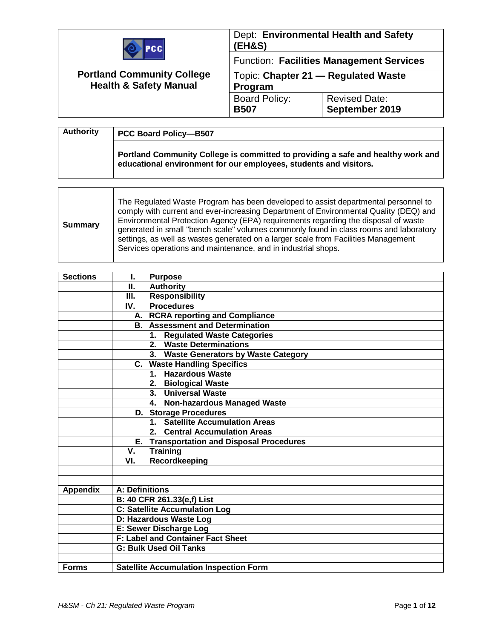| PCCI<br><b>Portland Community College</b><br><b>Health &amp; Safety Manual</b> | (EH&S)                                         | Dept: Environmental Health and Safety           |
|--------------------------------------------------------------------------------|------------------------------------------------|-------------------------------------------------|
|                                                                                |                                                | <b>Function: Facilities Management Services</b> |
|                                                                                | Topic: Chapter 21 - Regulated Waste<br>Program |                                                 |
|                                                                                | <b>Board Policy:</b><br><b>B507</b>            | <b>Revised Date:</b><br>September 2019          |

| <b>Authority</b> | <b>PCC Board Policy-B507</b>                                                                                                                          |  |
|------------------|-------------------------------------------------------------------------------------------------------------------------------------------------------|--|
|                  | Portland Community College is committed to providing a safe and healthy work and<br>educational environment for our employees, students and visitors. |  |

| <b>Sections</b> | <b>Purpose</b><br>L                              |  |
|-----------------|--------------------------------------------------|--|
|                 | <b>Authority</b><br>П.                           |  |
|                 | <b>Responsibility</b><br>Ш.                      |  |
|                 | <b>Procedures</b><br>IV.                         |  |
|                 | A. RCRA reporting and Compliance                 |  |
|                 | <b>B.</b> Assessment and Determination           |  |
|                 | 1. Regulated Waste Categories                    |  |
|                 | 2. Waste Determinations                          |  |
|                 | 3. Waste Generators by Waste Category            |  |
|                 | C. Waste Handling Specifics                      |  |
|                 | 1. Hazardous Waste                               |  |
|                 | 2. Biological Waste                              |  |
|                 | 3. Universal Waste                               |  |
|                 | 4. Non-hazardous Managed Waste                   |  |
|                 | <b>D.</b> Storage Procedures                     |  |
|                 | 1. Satellite Accumulation Areas                  |  |
|                 | 2. Central Accumulation Areas                    |  |
|                 | E. Transportation and Disposal Procedures        |  |
|                 | V.<br><b>Training</b>                            |  |
|                 | Recordkeeping<br>VI.                             |  |
|                 |                                                  |  |
|                 |                                                  |  |
| <b>Appendix</b> | A: Definitions                                   |  |
|                 | B: 40 CFR 261.33(e,f) List                       |  |
|                 | <b>C: Satellite Accumulation Log</b>             |  |
|                 | D: Hazardous Waste Log<br>E: Sewer Discharge Log |  |
|                 |                                                  |  |
|                 | <b>F: Label and Container Fact Sheet</b>         |  |
|                 | <b>G: Bulk Used Oil Tanks</b>                    |  |
|                 |                                                  |  |
| <b>Forms</b>    | <b>Satellite Accumulation Inspection Form</b>    |  |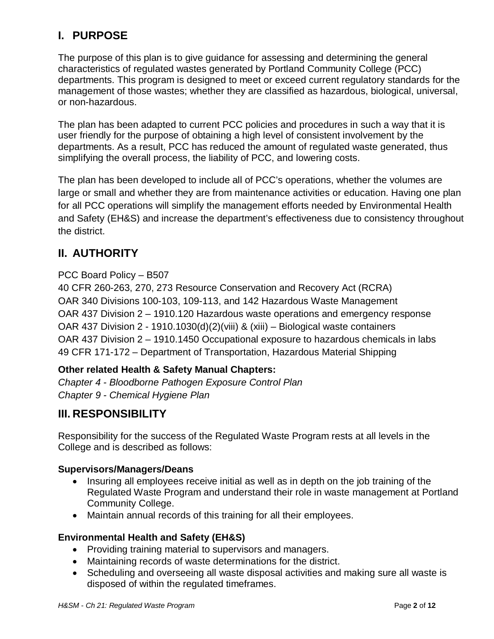# **I. PURPOSE**

The purpose of this plan is to give guidance for assessing and determining the general characteristics of regulated wastes generated by Portland Community College (PCC) departments. This program is designed to meet or exceed current regulatory standards for the management of those wastes; whether they are classified as hazardous, biological, universal, or non-hazardous.

The plan has been adapted to current PCC policies and procedures in such a way that it is user friendly for the purpose of obtaining a high level of consistent involvement by the departments. As a result, PCC has reduced the amount of regulated waste generated, thus simplifying the overall process, the liability of PCC, and lowering costs.

The plan has been developed to include all of PCC's operations, whether the volumes are large or small and whether they are from maintenance activities or education. Having one plan for all PCC operations will simplify the management efforts needed by Environmental Health and Safety (EH&S) and increase the department's effectiveness due to consistency throughout the district.

# **II. AUTHORITY**

### PCC Board Policy – B507

40 CFR 260-263, 270, 273 Resource Conservation and Recovery Act (RCRA) OAR 340 Divisions 100-103, 109-113, and 142 Hazardous Waste Management OAR 437 Division 2 – 1910.120 Hazardous waste operations and emergency response OAR 437 Division 2 - 1910.1030(d)(2)(viii) & (xiii) – Biological waste containers OAR 437 Division 2 – 1910.1450 Occupational exposure to hazardous chemicals in labs 49 CFR 171-172 – Department of Transportation, Hazardous Material Shipping

### **Other related Health & Safety Manual Chapters:**

*Chapter 4 - Bloodborne Pathogen Exposure Control Plan Chapter 9 - Chemical Hygiene Plan*

## **III. RESPONSIBILITY**

Responsibility for the success of the Regulated Waste Program rests at all levels in the College and is described as follows:

#### **Supervisors/Managers/Deans**

- Insuring all employees receive initial as well as in depth on the job training of the Regulated Waste Program and understand their role in waste management at Portland Community College.
- Maintain annual records of this training for all their employees.

### **Environmental Health and Safety (EH&S)**

- Providing training material to supervisors and managers.
- Maintaining records of waste determinations for the district.
- Scheduling and overseeing all waste disposal activities and making sure all waste is disposed of within the regulated timeframes.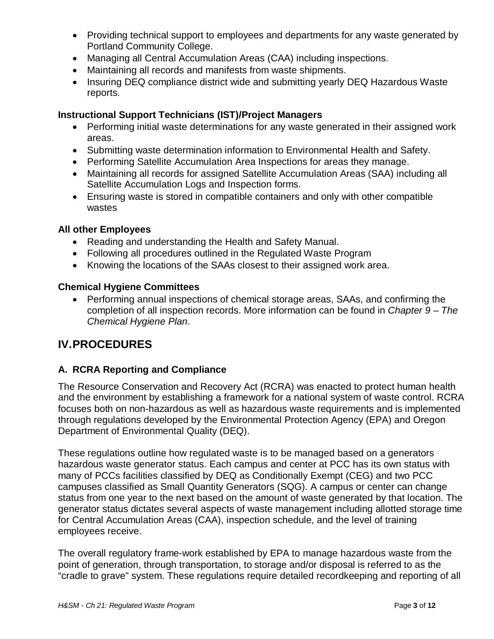- Providing technical support to employees and departments for any waste generated by Portland Community College.
- Managing all Central Accumulation Areas (CAA) including inspections.
- Maintaining all records and manifests from waste shipments.
- Insuring DEQ compliance district wide and submitting yearly DEQ Hazardous Waste reports.

### **Instructional Support Technicians (IST)/Project Managers**

- Performing initial waste determinations for any waste generated in their assigned work areas.
- Submitting waste determination information to Environmental Health and Safety.
- Performing Satellite Accumulation Area Inspections for areas they manage.
- Maintaining all records for assigned Satellite Accumulation Areas (SAA) including all Satellite Accumulation Logs and Inspection forms.
- Ensuring waste is stored in compatible containers and only with other compatible wastes

#### **All other Employees**

- Reading and understanding the Health and Safety Manual.
- Following all procedures outlined in the Regulated Waste Program
- Knowing the locations of the SAAs closest to their assigned work area.

#### **Chemical Hygiene Committees**

• Performing annual inspections of chemical storage areas, SAAs, and confirming the completion of all inspection records. More information can be found in *Chapter 9 – The Chemical Hygiene Plan*.

# **IV.PROCEDURES**

### **A. RCRA Reporting and Compliance**

The Resource Conservation and Recovery Act (RCRA) was enacted to protect human health and the environment by establishing a framework for a national system of waste control. RCRA focuses both on non-hazardous as well as hazardous waste requirements and is implemented through regulations developed by the Environmental Protection Agency (EPA) and Oregon Department of Environmental Quality (DEQ).

These regulations outline how regulated waste is to be managed based on a generators hazardous waste generator status. Each campus and center at PCC has its own status with many of PCCs facilities classified by DEQ as Conditionally Exempt (CEG) and two PCC campuses classified as Small Quantity Generators (SQG). A campus or center can change status from one year to the next based on the amount of waste generated by that location. The generator status dictates several aspects of waste management including allotted storage time for Central Accumulation Areas (CAA), inspection schedule, and the level of training employees receive.

The overall regulatory frame-work established by EPA to manage hazardous waste from the point of generation, through transportation, to storage and/or disposal is referred to as the "cradle to grave" system. These regulations require detailed recordkeeping and reporting of all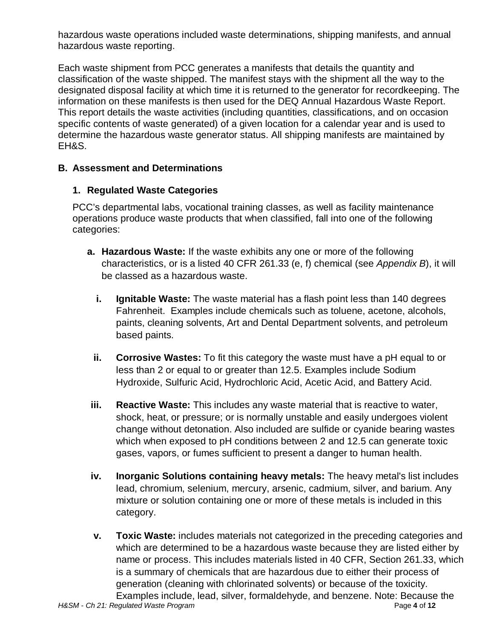hazardous waste operations included waste determinations, shipping manifests, and annual hazardous waste reporting.

Each waste shipment from PCC generates a manifests that details the quantity and classification of the waste shipped. The manifest stays with the shipment all the way to the designated disposal facility at which time it is returned to the generator for recordkeeping. The information on these manifests is then used for the DEQ Annual Hazardous Waste Report. This report details the waste activities (including quantities, classifications, and on occasion specific contents of waste generated) of a given location for a calendar year and is used to determine the hazardous waste generator status. All shipping manifests are maintained by EH&S.

### **B. Assessment and Determinations**

### **1. Regulated Waste Categories**

PCC's departmental labs, vocational training classes, as well as facility maintenance operations produce waste products that when classified, fall into one of the following categories:

- **a. Hazardous Waste:** If the waste exhibits any one or more of the following characteristics, or is a listed 40 CFR 261.33 (e, f) chemical (see *Appendix B*), it will be classed as a hazardous waste.
	- **i. Ignitable Waste:** The waste material has a flash point less than 140 degrees Fahrenheit. Examples include chemicals such as toluene, acetone, alcohols, paints, cleaning solvents, Art and Dental Department solvents, and petroleum based paints.
	- **ii. Corrosive Wastes:** To fit this category the waste must have a pH equal to or less than 2 or equal to or greater than 12.5. Examples include Sodium Hydroxide, Sulfuric Acid, Hydrochloric Acid, Acetic Acid, and Battery Acid.
- **iii. Reactive Waste:** This includes any waste material that is reactive to water, shock, heat, or pressure; or is normally unstable and easily undergoes violent change without detonation. Also included are sulfide or cyanide bearing wastes which when exposed to pH conditions between 2 and 12.5 can generate toxic gases, vapors, or fumes sufficient to present a danger to human health.
- **iv. Inorganic Solutions containing heavy metals:** The heavy metal's list includes lead, chromium, selenium, mercury, arsenic, cadmium, silver, and barium. Any mixture or solution containing one or more of these metals is included in this category.
- *H&SM - Ch 21: Regulated Waste Program* Page **4** of **12 v. Toxic Waste:** includes materials not categorized in the preceding categories and which are determined to be a hazardous waste because they are listed either by name or process. This includes materials listed in 40 CFR, Section 261.33, which is a summary of chemicals that are hazardous due to either their process of generation (cleaning with chlorinated solvents) or because of the toxicity. Examples include, lead, silver, formaldehyde, and benzene. Note: Because the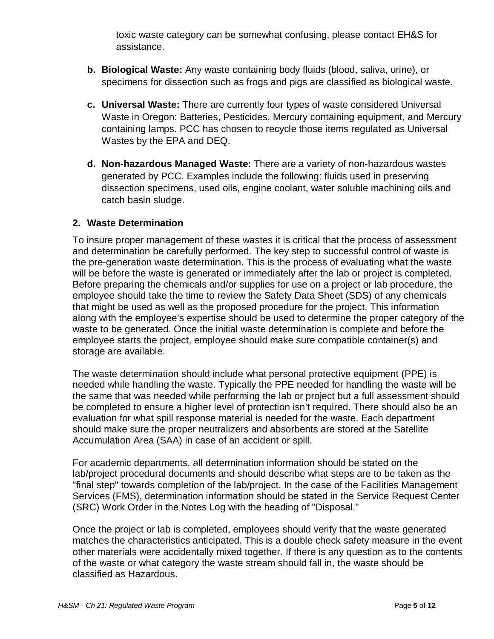toxic waste category can be somewhat confusing, please contact EH&S for assistance.

- **b. Biological Waste:** Any waste containing body fluids (blood, saliva, urine), or specimens for dissection such as frogs and pigs are classified as biological waste.
- **c. Universal Waste:** There are currently four types of waste considered Universal Waste in Oregon: Batteries, Pesticides, Mercury containing equipment, and Mercury containing lamps. PCC has chosen to recycle those items regulated as Universal Wastes by the EPA and DEQ.
- **d. Non-hazardous Managed Waste:** There are a variety of non-hazardous wastes generated by PCC. Examples include the following: fluids used in preserving dissection specimens, used oils, engine coolant, water soluble machining oils and catch basin sludge.

#### **2. Waste Determination**

To insure proper management of these wastes it is critical that the process of assessment and determination be carefully performed. The key step to successful control of waste is the pre-generation waste determination. This is the process of evaluating what the waste will be before the waste is generated or immediately after the lab or project is completed. Before preparing the chemicals and/or supplies for use on a project or lab procedure, the employee should take the time to review the Safety Data Sheet (SDS) of any chemicals that might be used as well as the proposed procedure for the project. This information along with the employee's expertise should be used to determine the proper category of the waste to be generated. Once the initial waste determination is complete and before the employee starts the project, employee should make sure compatible container(s) and storage are available.

The waste determination should include what personal protective equipment (PPE) is needed while handling the waste. Typically the PPE needed for handling the waste will be the same that was needed while performing the lab or project but a full assessment should be completed to ensure a higher level of protection isn't required. There should also be an evaluation for what spill response material is needed for the waste. Each department should make sure the proper neutralizers and absorbents are stored at the Satellite Accumulation Area (SAA) in case of an accident or spill.

For academic departments, all determination information should be stated on the lab/project procedural documents and should describe what steps are to be taken as the "final step" towards completion of the lab/project. In the case of the Facilities Management Services (FMS), determination information should be stated in the Service Request Center (SRC) Work Order in the Notes Log with the heading of "Disposal."

Once the project or lab is completed, employees should verify that the waste generated matches the characteristics anticipated. This is a double check safety measure in the event other materials were accidentally mixed together. If there is any question as to the contents of the waste or what category the waste stream should fall in, the waste should be classified as Hazardous.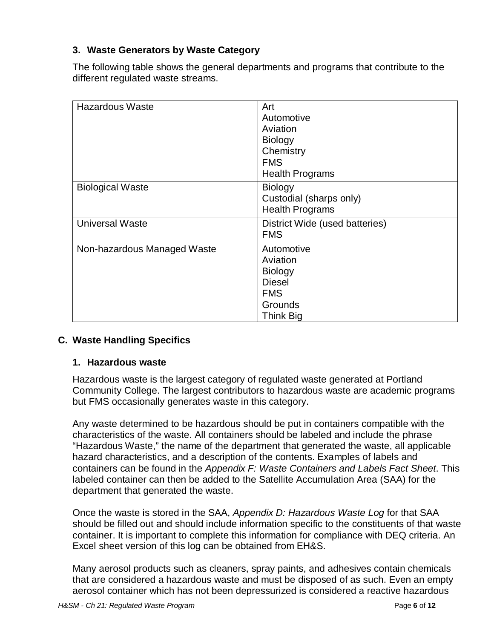### **3. Waste Generators by Waste Category**

The following table shows the general departments and programs that contribute to the different regulated waste streams.

| <b>Hazardous Waste</b>      | Art<br>Automotive<br>Aviation<br><b>Biology</b><br>Chemistry<br><b>FMS</b><br><b>Health Programs</b>   |
|-----------------------------|--------------------------------------------------------------------------------------------------------|
| <b>Biological Waste</b>     | <b>Biology</b><br>Custodial (sharps only)<br><b>Health Programs</b>                                    |
| <b>Universal Waste</b>      | District Wide (used batteries)<br><b>FMS</b>                                                           |
| Non-hazardous Managed Waste | Automotive<br>Aviation<br><b>Biology</b><br><b>Diesel</b><br><b>FMS</b><br>Grounds<br><b>Think Big</b> |

#### **C. Waste Handling Specifics**

#### **1. Hazardous waste**

Hazardous waste is the largest category of regulated waste generated at Portland Community College. The largest contributors to hazardous waste are academic programs but FMS occasionally generates waste in this category.

Any waste determined to be hazardous should be put in containers compatible with the characteristics of the waste. All containers should be labeled and include the phrase "Hazardous Waste," the name of the department that generated the waste, all applicable hazard characteristics, and a description of the contents. Examples of labels and containers can be found in the *Appendix F: Waste Containers and Labels Fact Sheet*. This labeled container can then be added to the Satellite Accumulation Area (SAA) for the department that generated the waste.

Once the waste is stored in the SAA, *Appendix D: Hazardous Waste Log* for that SAA should be filled out and should include information specific to the constituents of that waste container. It is important to complete this information for compliance with DEQ criteria. An Excel sheet version of this log can be obtained from EH&S.

Many aerosol products such as cleaners, spray paints, and adhesives contain chemicals that are considered a hazardous waste and must be disposed of as such. Even an empty aerosol container which has not been depressurized is considered a reactive hazardous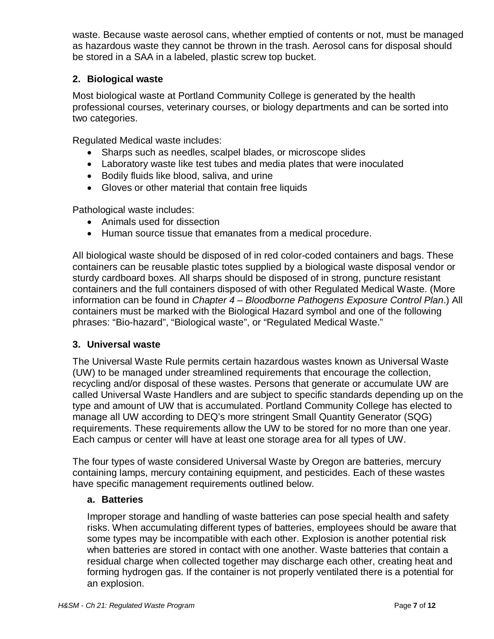waste. Because waste aerosol cans, whether emptied of contents or not, must be managed as hazardous waste they cannot be thrown in the trash. Aerosol cans for disposal should be stored in a SAA in a labeled, plastic screw top bucket.

### **2. Biological waste**

Most biological waste at Portland Community College is generated by the health professional courses, veterinary courses, or biology departments and can be sorted into two categories.

Regulated Medical waste includes:

- Sharps such as needles, scalpel blades, or microscope slides
- Laboratory waste like test tubes and media plates that were inoculated
- Bodily fluids like blood, saliva, and urine
- Gloves or other material that contain free liquids

Pathological waste includes:

- Animals used for dissection
- Human source tissue that emanates from a medical procedure.

All biological waste should be disposed of in red color-coded containers and bags. These containers can be reusable plastic totes supplied by a biological waste disposal vendor or sturdy cardboard boxes. All sharps should be disposed of in strong, puncture resistant containers and the full containers disposed of with other Regulated Medical Waste. (More information can be found in *Chapter 4 – Bloodborne Pathogens Exposure Control Plan*.) All containers must be marked with the Biological Hazard symbol and one of the following phrases: "Bio-hazard", "Biological waste", or "Regulated Medical Waste."

#### **3. Universal waste**

The Universal Waste Rule permits certain hazardous wastes known as Universal Waste (UW) to be managed under streamlined requirements that encourage the collection, recycling and/or disposal of these wastes. Persons that generate or accumulate UW are called Universal Waste Handlers and are subject to specific standards depending up on the type and amount of UW that is accumulated. Portland Community College has elected to manage all UW according to DEQ's more stringent Small Quantity Generator (SQG) requirements. These requirements allow the UW to be stored for no more than one year. Each campus or center will have at least one storage area for all types of UW.

The four types of waste considered Universal Waste by Oregon are batteries, mercury containing lamps, mercury containing equipment, and pesticides. Each of these wastes have specific management requirements outlined below.

#### **a. Batteries**

Improper storage and handling of waste batteries can pose special health and safety risks. When accumulating different types of batteries, employees should be aware that some types may be incompatible with each other. Explosion is another potential risk when batteries are stored in contact with one another. Waste batteries that contain a residual charge when collected together may discharge each other, creating heat and forming hydrogen gas. If the container is not properly ventilated there is a potential for an explosion.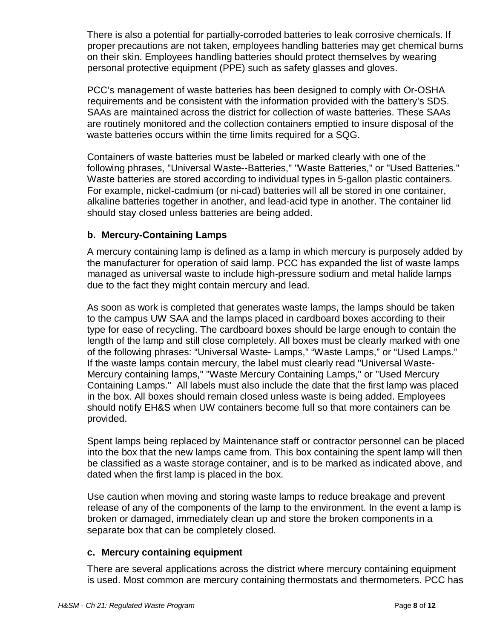There is also a potential for partially-corroded batteries to leak corrosive chemicals. If proper precautions are not taken, employees handling batteries may get chemical burns on their skin. Employees handling batteries should protect themselves by wearing personal protective equipment (PPE) such as safety glasses and gloves.

PCC's management of waste batteries has been designed to comply with Or-OSHA requirements and be consistent with the information provided with the battery's SDS. SAAs are maintained across the district for collection of waste batteries. These SAAs are routinely monitored and the collection containers emptied to insure disposal of the waste batteries occurs within the time limits required for a SQG.

Containers of waste batteries must be labeled or marked clearly with one of the following phrases, "Universal Waste--Batteries," "Waste Batteries," or "Used Batteries." Waste batteries are stored according to individual types in 5-gallon plastic containers. For example, nickel-cadmium (or ni-cad) batteries will all be stored in one container, alkaline batteries together in another, and lead-acid type in another. The container lid should stay closed unless batteries are being added.

### **b. Mercury-Containing Lamps**

A mercury containing lamp is defined as a lamp in which mercury is purposely added by the manufacturer for operation of said lamp. PCC has expanded the list of waste lamps managed as universal waste to include high-pressure sodium and metal halide lamps due to the fact they might contain mercury and lead.

As soon as work is completed that generates waste lamps, the lamps should be taken to the campus UW SAA and the lamps placed in cardboard boxes according to their type for ease of recycling. The cardboard boxes should be large enough to contain the length of the lamp and still close completely. All boxes must be clearly marked with one of the following phrases: "Universal Waste- Lamps," "Waste Lamps," or "Used Lamps." If the waste lamps contain mercury, the label must clearly read "Universal Waste-Mercury containing lamps," "Waste Mercury Containing Lamps," or "Used Mercury Containing Lamps." All labels must also include the date that the first lamp was placed in the box. All boxes should remain closed unless waste is being added. Employees should notify EH&S when UW containers become full so that more containers can be provided.

Spent lamps being replaced by Maintenance staff or contractor personnel can be placed into the box that the new lamps came from. This box containing the spent lamp will then be classified as a waste storage container, and is to be marked as indicated above, and dated when the first lamp is placed in the box.

Use caution when moving and storing waste lamps to reduce breakage and prevent release of any of the components of the lamp to the environment. In the event a lamp is broken or damaged, immediately clean up and store the broken components in a separate box that can be completely closed.

#### **c. Mercury containing equipment**

There are several applications across the district where mercury containing equipment is used. Most common are mercury containing thermostats and thermometers. PCC has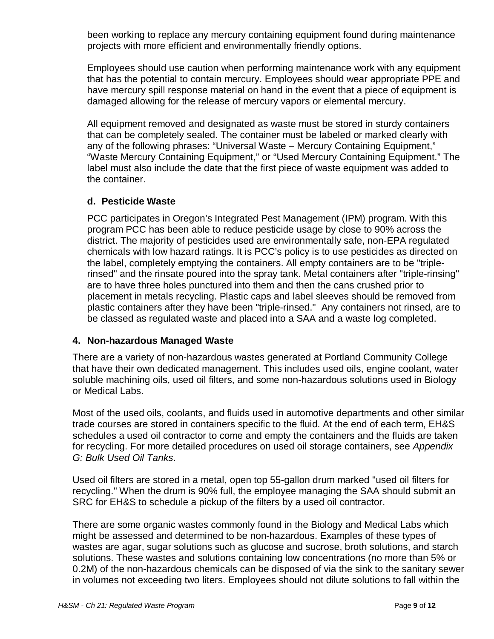been working to replace any mercury containing equipment found during maintenance projects with more efficient and environmentally friendly options.

Employees should use caution when performing maintenance work with any equipment that has the potential to contain mercury. Employees should wear appropriate PPE and have mercury spill response material on hand in the event that a piece of equipment is damaged allowing for the release of mercury vapors or elemental mercury.

All equipment removed and designated as waste must be stored in sturdy containers that can be completely sealed. The container must be labeled or marked clearly with any of the following phrases: "Universal Waste – Mercury Containing Equipment," "Waste Mercury Containing Equipment," or "Used Mercury Containing Equipment." The label must also include the date that the first piece of waste equipment was added to the container.

#### **d. Pesticide Waste**

PCC participates in Oregon's Integrated Pest Management (IPM) program. With this program PCC has been able to reduce pesticide usage by close to 90% across the district. The majority of pesticides used are environmentally safe, non-EPA regulated chemicals with low hazard ratings. It is PCC's policy is to use pesticides as directed on the label, completely emptying the containers. All empty containers are to be "triplerinsed" and the rinsate poured into the spray tank. Metal containers after "triple-rinsing" are to have three holes punctured into them and then the cans crushed prior to placement in metals recycling. Plastic caps and label sleeves should be removed from plastic containers after they have been "triple-rinsed." Any containers not rinsed, are to be classed as regulated waste and placed into a SAA and a waste log completed.

#### **4. Non-hazardous Managed Waste**

There are a variety of non-hazardous wastes generated at Portland Community College that have their own dedicated management. This includes used oils, engine coolant, water soluble machining oils, used oil filters, and some non-hazardous solutions used in Biology or Medical Labs.

Most of the used oils, coolants, and fluids used in automotive departments and other similar trade courses are stored in containers specific to the fluid. At the end of each term, EH&S schedules a used oil contractor to come and empty the containers and the fluids are taken for recycling. For more detailed procedures on used oil storage containers, see *Appendix G: Bulk Used Oil Tanks*.

Used oil filters are stored in a metal, open top 55-gallon drum marked "used oil filters for recycling." When the drum is 90% full, the employee managing the SAA should submit an SRC for EH&S to schedule a pickup of the filters by a used oil contractor.

There are some organic wastes commonly found in the Biology and Medical Labs which might be assessed and determined to be non-hazardous. Examples of these types of wastes are agar, sugar solutions such as glucose and sucrose, broth solutions, and starch solutions. These wastes and solutions containing low concentrations (no more than 5% or 0.2M) of the non-hazardous chemicals can be disposed of via the sink to the sanitary sewer in volumes not exceeding two liters. Employees should not dilute solutions to fall within the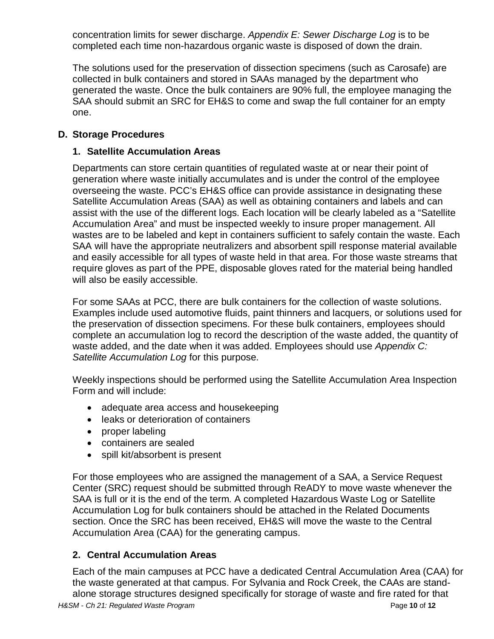concentration limits for sewer discharge. *Appendix E: Sewer Discharge Log* is to be completed each time non-hazardous organic waste is disposed of down the drain.

The solutions used for the preservation of dissection specimens (such as Carosafe) are collected in bulk containers and stored in SAAs managed by the department who generated the waste. Once the bulk containers are 90% full, the employee managing the SAA should submit an SRC for EH&S to come and swap the full container for an empty one.

### **D. Storage Procedures**

### **1. Satellite Accumulation Areas**

Departments can store certain quantities of regulated waste at or near their point of generation where waste initially accumulates and is under the control of the employee overseeing the waste. PCC's EH&S office can provide assistance in designating these Satellite Accumulation Areas (SAA) as well as obtaining containers and labels and can assist with the use of the different logs. Each location will be clearly labeled as a "Satellite Accumulation Area" and must be inspected weekly to insure proper management. All wastes are to be labeled and kept in containers sufficient to safely contain the waste. Each SAA will have the appropriate neutralizers and absorbent spill response material available and easily accessible for all types of waste held in that area. For those waste streams that require gloves as part of the PPE, disposable gloves rated for the material being handled will also be easily accessible.

For some SAAs at PCC, there are bulk containers for the collection of waste solutions. Examples include used automotive fluids, paint thinners and lacquers, or solutions used for the preservation of dissection specimens. For these bulk containers, employees should complete an accumulation log to record the description of the waste added, the quantity of waste added, and the date when it was added. Employees should use *Appendix C: Satellite Accumulation Log* for this purpose.

Weekly inspections should be performed using the Satellite Accumulation Area Inspection Form and will include:

- adequate area access and housekeeping
- leaks or deterioration of containers
- proper labeling
- containers are sealed
- spill kit/absorbent is present

For those employees who are assigned the management of a SAA, a Service Request Center (SRC) request should be submitted through ReADY to move waste whenever the SAA is full or it is the end of the term. A completed Hazardous Waste Log or Satellite Accumulation Log for bulk containers should be attached in the Related Documents section. Once the SRC has been received, EH&S will move the waste to the Central Accumulation Area (CAA) for the generating campus.

### **2. Central Accumulation Areas**

Each of the main campuses at PCC have a dedicated Central Accumulation Area (CAA) for the waste generated at that campus. For Sylvania and Rock Creek, the CAAs are standalone storage structures designed specifically for storage of waste and fire rated for that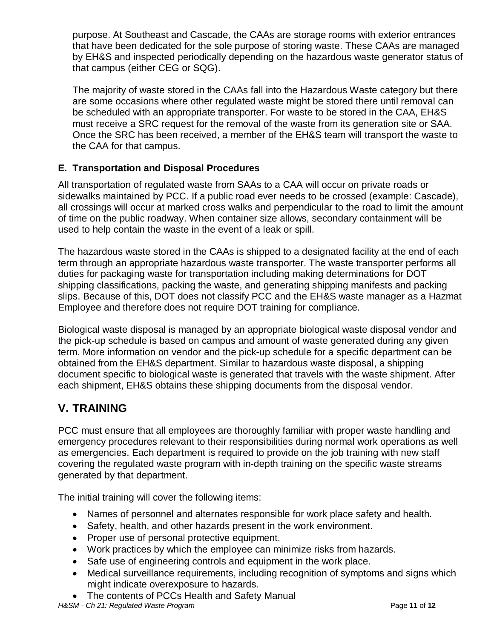purpose. At Southeast and Cascade, the CAAs are storage rooms with exterior entrances that have been dedicated for the sole purpose of storing waste. These CAAs are managed by EH&S and inspected periodically depending on the hazardous waste generator status of that campus (either CEG or SQG).

The majority of waste stored in the CAAs fall into the Hazardous Waste category but there are some occasions where other regulated waste might be stored there until removal can be scheduled with an appropriate transporter. For waste to be stored in the CAA, EH&S must receive a SRC request for the removal of the waste from its generation site or SAA. Once the SRC has been received, a member of the EH&S team will transport the waste to the CAA for that campus.

## **E. Transportation and Disposal Procedures**

All transportation of regulated waste from SAAs to a CAA will occur on private roads or sidewalks maintained by PCC. If a public road ever needs to be crossed (example: Cascade), all crossings will occur at marked cross walks and perpendicular to the road to limit the amount of time on the public roadway. When container size allows, secondary containment will be used to help contain the waste in the event of a leak or spill.

The hazardous waste stored in the CAAs is shipped to a designated facility at the end of each term through an appropriate hazardous waste transporter. The waste transporter performs all duties for packaging waste for transportation including making determinations for DOT shipping classifications, packing the waste, and generating shipping manifests and packing slips. Because of this, DOT does not classify PCC and the EH&S waste manager as a Hazmat Employee and therefore does not require DOT training for compliance.

Biological waste disposal is managed by an appropriate biological waste disposal vendor and the pick-up schedule is based on campus and amount of waste generated during any given term. More information on vendor and the pick-up schedule for a specific department can be obtained from the EH&S department. Similar to hazardous waste disposal, a shipping document specific to biological waste is generated that travels with the waste shipment. After each shipment, EH&S obtains these shipping documents from the disposal vendor.

# **V. TRAINING**

PCC must ensure that all employees are thoroughly familiar with proper waste handling and emergency procedures relevant to their responsibilities during normal work operations as well as emergencies. Each department is required to provide on the job training with new staff covering the regulated waste program with in-depth training on the specific waste streams generated by that department.

The initial training will cover the following items:

- Names of personnel and alternates responsible for work place safety and health.
- Safety, health, and other hazards present in the work environment.
- Proper use of personal protective equipment.
- Work practices by which the employee can minimize risks from hazards.
- Safe use of engineering controls and equipment in the work place.
- Medical surveillance requirements, including recognition of symptoms and signs which might indicate overexposure to hazards.
- The contents of PCCs Health and Safety Manual